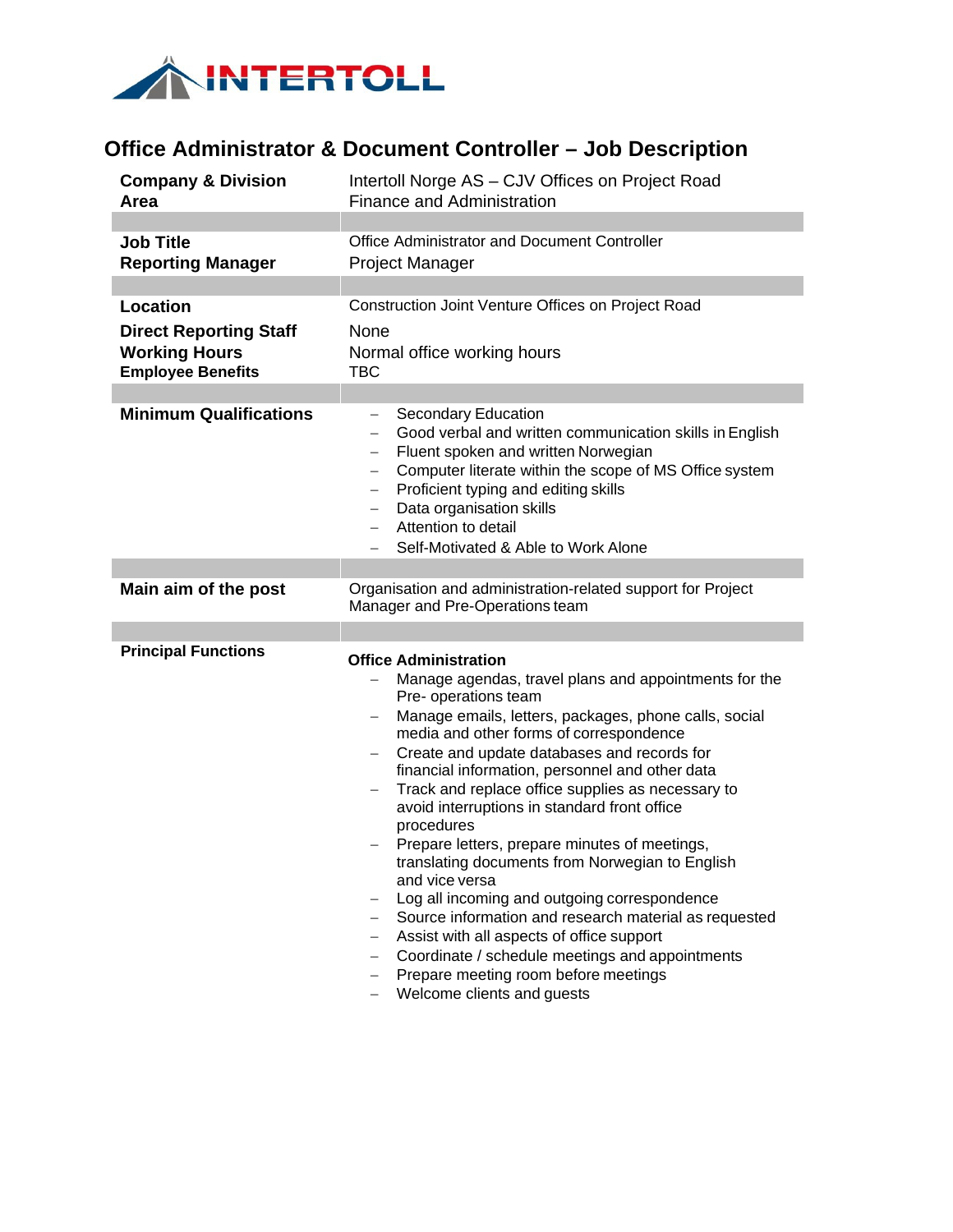

## **Office Administrator & Document Controller – Job Description**

| <b>Company &amp; Division</b> | Intertoll Norge AS - CJV Offices on Project Road                                                                                                                                                                                                                                                                                                                                                                                                                                                                                                                                                                                                                                                                                                                                                                                                        |
|-------------------------------|---------------------------------------------------------------------------------------------------------------------------------------------------------------------------------------------------------------------------------------------------------------------------------------------------------------------------------------------------------------------------------------------------------------------------------------------------------------------------------------------------------------------------------------------------------------------------------------------------------------------------------------------------------------------------------------------------------------------------------------------------------------------------------------------------------------------------------------------------------|
| Area                          | <b>Finance and Administration</b>                                                                                                                                                                                                                                                                                                                                                                                                                                                                                                                                                                                                                                                                                                                                                                                                                       |
|                               |                                                                                                                                                                                                                                                                                                                                                                                                                                                                                                                                                                                                                                                                                                                                                                                                                                                         |
| <b>Job Title</b>              | Office Administrator and Document Controller                                                                                                                                                                                                                                                                                                                                                                                                                                                                                                                                                                                                                                                                                                                                                                                                            |
| <b>Reporting Manager</b>      | <b>Project Manager</b>                                                                                                                                                                                                                                                                                                                                                                                                                                                                                                                                                                                                                                                                                                                                                                                                                                  |
|                               |                                                                                                                                                                                                                                                                                                                                                                                                                                                                                                                                                                                                                                                                                                                                                                                                                                                         |
| <b>Location</b>               | Construction Joint Venture Offices on Project Road                                                                                                                                                                                                                                                                                                                                                                                                                                                                                                                                                                                                                                                                                                                                                                                                      |
| <b>Direct Reporting Staff</b> | None                                                                                                                                                                                                                                                                                                                                                                                                                                                                                                                                                                                                                                                                                                                                                                                                                                                    |
| <b>Working Hours</b>          | Normal office working hours                                                                                                                                                                                                                                                                                                                                                                                                                                                                                                                                                                                                                                                                                                                                                                                                                             |
| <b>Employee Benefits</b>      | <b>TBC</b>                                                                                                                                                                                                                                                                                                                                                                                                                                                                                                                                                                                                                                                                                                                                                                                                                                              |
|                               |                                                                                                                                                                                                                                                                                                                                                                                                                                                                                                                                                                                                                                                                                                                                                                                                                                                         |
| <b>Minimum Qualifications</b> | Secondary Education<br>-<br>Good verbal and written communication skills in English<br>Fluent spoken and written Norwegian<br>$\qquad \qquad -$<br>Computer literate within the scope of MS Office system<br>$\overline{\phantom{0}}$<br>Proficient typing and editing skills<br>$\qquad \qquad -$<br>Data organisation skills<br>Attention to detail<br>Self-Motivated & Able to Work Alone                                                                                                                                                                                                                                                                                                                                                                                                                                                            |
| Main aim of the post          | Organisation and administration-related support for Project                                                                                                                                                                                                                                                                                                                                                                                                                                                                                                                                                                                                                                                                                                                                                                                             |
|                               | Manager and Pre-Operations team                                                                                                                                                                                                                                                                                                                                                                                                                                                                                                                                                                                                                                                                                                                                                                                                                         |
|                               |                                                                                                                                                                                                                                                                                                                                                                                                                                                                                                                                                                                                                                                                                                                                                                                                                                                         |
| <b>Principal Functions</b>    | <b>Office Administration</b><br>Manage agendas, travel plans and appointments for the<br>Pre- operations team<br>Manage emails, letters, packages, phone calls, social<br>media and other forms of correspondence<br>Create and update databases and records for<br>financial information, personnel and other data<br>Track and replace office supplies as necessary to<br>avoid interruptions in standard front office<br>procedures<br>Prepare letters, prepare minutes of meetings,<br>translating documents from Norwegian to English<br>and vice versa<br>Log all incoming and outgoing correspondence<br>Source information and research material as requested<br>Assist with all aspects of office support<br>Coordinate / schedule meetings and appointments<br>$-$<br>Prepare meeting room before meetings<br>—<br>Welcome clients and guests |